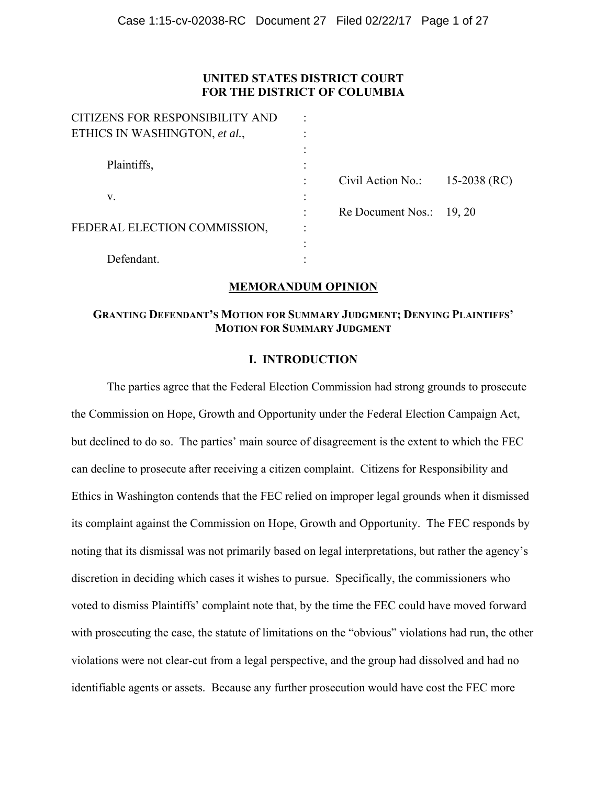# **UNITED STATES DISTRICT COURT FOR THE DISTRICT OF COLUMBIA**

| CITIZENS FOR RESPONSIBILITY AND | $\bullet$ |                   |              |
|---------------------------------|-----------|-------------------|--------------|
| ETHICS IN WASHINGTON, et al.,   |           |                   |              |
| Plaintiffs,                     |           |                   |              |
|                                 |           | Civil Action No.: | 15-2038 (RC) |
| V.                              |           |                   |              |
|                                 |           | Re Document Nos.: | 19, 20       |
| FEDERAL ELECTION COMMISSION,    | ٠         |                   |              |
|                                 |           |                   |              |
| Defendant.                      |           |                   |              |

CITIZENS FOR RESPONSIBILITY AND :

# **MEMORANDUM OPINION**

# **GRANTING DEFENDANT'S MOTION FOR SUMMARY JUDGMENT; DENYING PLAINTIFFS' MOTION FOR SUMMARY JUDGMENT**

# **I. INTRODUCTION**

The parties agree that the Federal Election Commission had strong grounds to prosecute the Commission on Hope, Growth and Opportunity under the Federal Election Campaign Act, but declined to do so. The parties' main source of disagreement is the extent to which the FEC can decline to prosecute after receiving a citizen complaint. Citizens for Responsibility and Ethics in Washington contends that the FEC relied on improper legal grounds when it dismissed its complaint against the Commission on Hope, Growth and Opportunity. The FEC responds by noting that its dismissal was not primarily based on legal interpretations, but rather the agency's discretion in deciding which cases it wishes to pursue. Specifically, the commissioners who voted to dismiss Plaintiffs' complaint note that, by the time the FEC could have moved forward with prosecuting the case, the statute of limitations on the "obvious" violations had run, the other violations were not clear-cut from a legal perspective, and the group had dissolved and had no identifiable agents or assets. Because any further prosecution would have cost the FEC more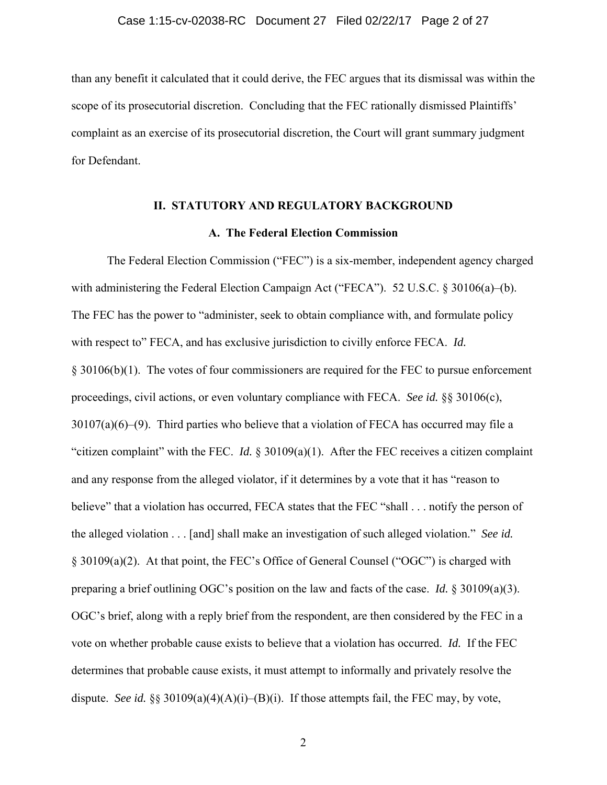than any benefit it calculated that it could derive, the FEC argues that its dismissal was within the scope of its prosecutorial discretion. Concluding that the FEC rationally dismissed Plaintiffs' complaint as an exercise of its prosecutorial discretion, the Court will grant summary judgment for Defendant.

#### **II. STATUTORY AND REGULATORY BACKGROUND**

## **A. The Federal Election Commission**

The Federal Election Commission ("FEC") is a six-member, independent agency charged with administering the Federal Election Campaign Act ("FECA"). 52 U.S.C. § 30106(a)–(b). The FEC has the power to "administer, seek to obtain compliance with, and formulate policy with respect to" FECA, and has exclusive jurisdiction to civilly enforce FECA. *Id.*  § 30106(b)(1). The votes of four commissioners are required for the FEC to pursue enforcement proceedings, civil actions, or even voluntary compliance with FECA. *See id.* §§ 30106(c), 30107(a)(6)–(9). Third parties who believe that a violation of FECA has occurred may file a "citizen complaint" with the FEC. *Id.* § 30109(a)(1). After the FEC receives a citizen complaint and any response from the alleged violator, if it determines by a vote that it has "reason to believe" that a violation has occurred, FECA states that the FEC "shall . . . notify the person of the alleged violation . . . [and] shall make an investigation of such alleged violation." *See id.*  § 30109(a)(2). At that point, the FEC's Office of General Counsel ("OGC") is charged with preparing a brief outlining OGC's position on the law and facts of the case. *Id.* § 30109(a)(3). OGC's brief, along with a reply brief from the respondent, are then considered by the FEC in a vote on whether probable cause exists to believe that a violation has occurred. *Id.* If the FEC determines that probable cause exists, it must attempt to informally and privately resolve the dispute. *See id.* §§ 30109(a)(4)(A)(i)–(B)(i). If those attempts fail, the FEC may, by vote,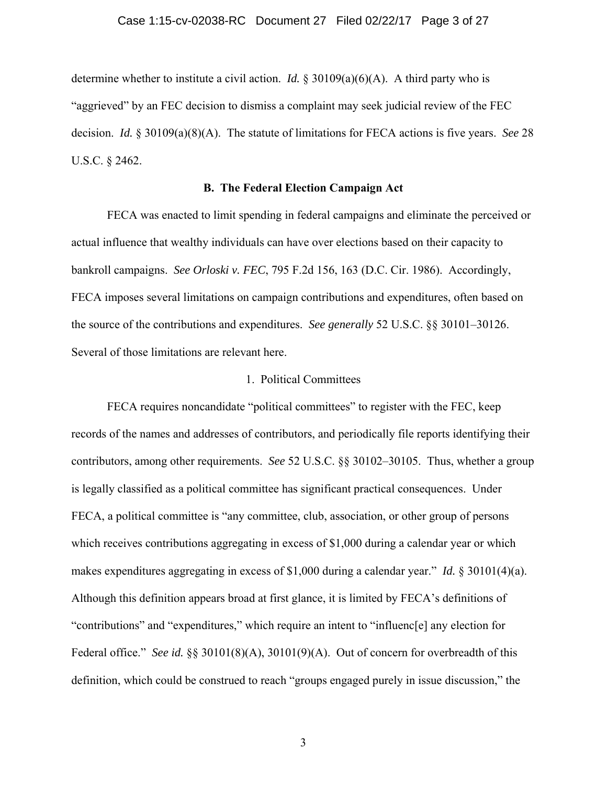#### Case 1:15-cv-02038-RC Document 27 Filed 02/22/17 Page 3 of 27

determine whether to institute a civil action. *Id.* § 30109(a)(6)(A). A third party who is "aggrieved" by an FEC decision to dismiss a complaint may seek judicial review of the FEC decision. *Id.* § 30109(a)(8)(A). The statute of limitations for FECA actions is five years. *See* 28 U.S.C. § 2462.

## **B. The Federal Election Campaign Act**

FECA was enacted to limit spending in federal campaigns and eliminate the perceived or actual influence that wealthy individuals can have over elections based on their capacity to bankroll campaigns. *See Orloski v. FEC*, 795 F.2d 156, 163 (D.C. Cir. 1986). Accordingly, FECA imposes several limitations on campaign contributions and expenditures, often based on the source of the contributions and expenditures. *See generally* 52 U.S.C. §§ 30101–30126. Several of those limitations are relevant here.

### 1. Political Committees

FECA requires noncandidate "political committees" to register with the FEC, keep records of the names and addresses of contributors, and periodically file reports identifying their contributors, among other requirements. *See* 52 U.S.C. §§ 30102–30105. Thus, whether a group is legally classified as a political committee has significant practical consequences. Under FECA, a political committee is "any committee, club, association, or other group of persons which receives contributions aggregating in excess of \$1,000 during a calendar year or which makes expenditures aggregating in excess of \$1,000 during a calendar year." *Id.* § 30101(4)(a). Although this definition appears broad at first glance, it is limited by FECA's definitions of "contributions" and "expenditures," which require an intent to "influenc[e] any election for Federal office." *See id.* §§ 30101(8)(A), 30101(9)(A). Out of concern for overbreadth of this definition, which could be construed to reach "groups engaged purely in issue discussion," the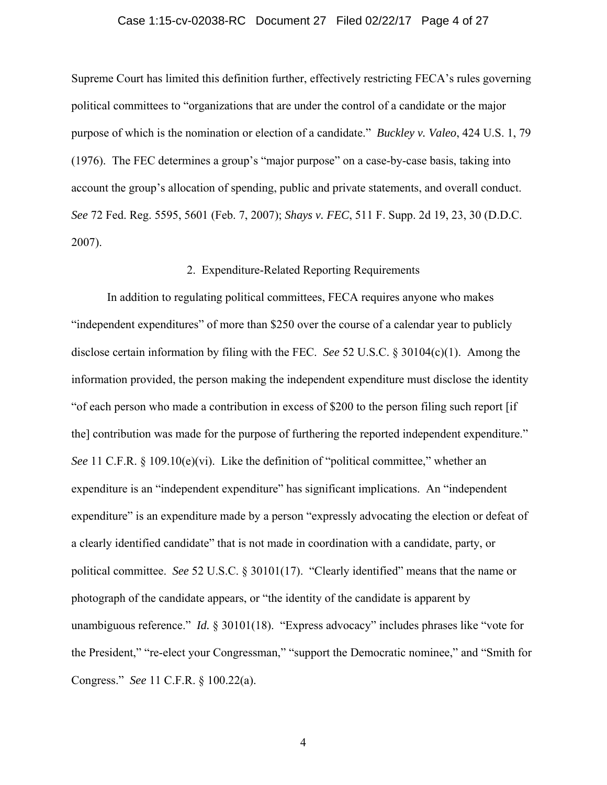#### Case 1:15-cv-02038-RC Document 27 Filed 02/22/17 Page 4 of 27

Supreme Court has limited this definition further, effectively restricting FECA's rules governing political committees to "organizations that are under the control of a candidate or the major purpose of which is the nomination or election of a candidate." *Buckley v. Valeo*, 424 U.S. 1, 79 (1976). The FEC determines a group's "major purpose" on a case-by-case basis, taking into account the group's allocation of spending, public and private statements, and overall conduct. *See* 72 Fed. Reg. 5595, 5601 (Feb. 7, 2007); *Shays v. FEC*, 511 F. Supp. 2d 19, 23, 30 (D.D.C. 2007).

### 2. Expenditure-Related Reporting Requirements

In addition to regulating political committees, FECA requires anyone who makes "independent expenditures" of more than \$250 over the course of a calendar year to publicly disclose certain information by filing with the FEC. *See* 52 U.S.C. § 30104(c)(1). Among the information provided, the person making the independent expenditure must disclose the identity "of each person who made a contribution in excess of \$200 to the person filing such report [if the] contribution was made for the purpose of furthering the reported independent expenditure." *See* 11 C.F.R. § 109.10(e)(vi). Like the definition of "political committee," whether an expenditure is an "independent expenditure" has significant implications. An "independent expenditure" is an expenditure made by a person "expressly advocating the election or defeat of a clearly identified candidate" that is not made in coordination with a candidate, party, or political committee. *See* 52 U.S.C. § 30101(17). "Clearly identified" means that the name or photograph of the candidate appears, or "the identity of the candidate is apparent by unambiguous reference." *Id.* § 30101(18). "Express advocacy" includes phrases like "vote for the President," "re-elect your Congressman," "support the Democratic nominee," and "Smith for Congress." *See* 11 C.F.R. § 100.22(a).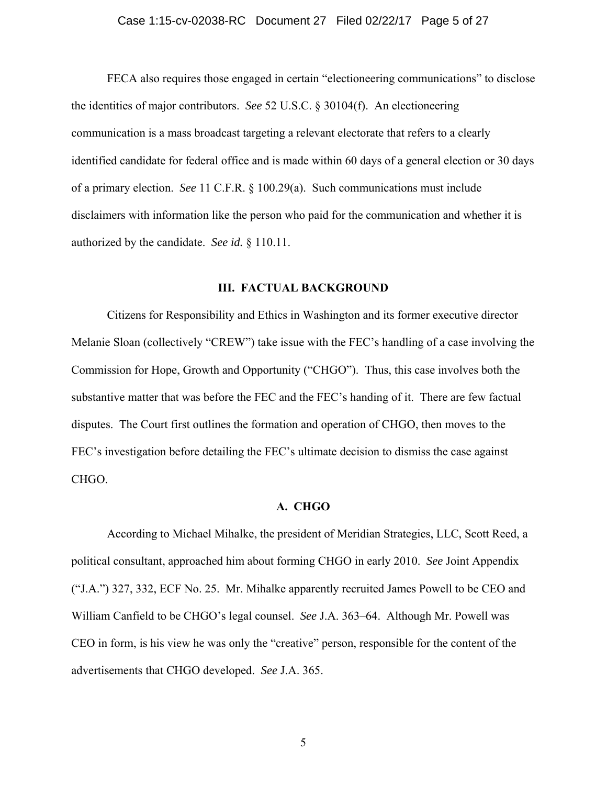### Case 1:15-cv-02038-RC Document 27 Filed 02/22/17 Page 5 of 27

FECA also requires those engaged in certain "electioneering communications" to disclose the identities of major contributors. *See* 52 U.S.C. § 30104(f). An electioneering communication is a mass broadcast targeting a relevant electorate that refers to a clearly identified candidate for federal office and is made within 60 days of a general election or 30 days of a primary election. *See* 11 C.F.R. § 100.29(a). Such communications must include disclaimers with information like the person who paid for the communication and whether it is authorized by the candidate. *See id.* § 110.11.

#### **III. FACTUAL BACKGROUND**

Citizens for Responsibility and Ethics in Washington and its former executive director Melanie Sloan (collectively "CREW") take issue with the FEC's handling of a case involving the Commission for Hope, Growth and Opportunity ("CHGO"). Thus, this case involves both the substantive matter that was before the FEC and the FEC's handing of it. There are few factual disputes. The Court first outlines the formation and operation of CHGO, then moves to the FEC's investigation before detailing the FEC's ultimate decision to dismiss the case against CHGO.

## **A. CHGO**

According to Michael Mihalke, the president of Meridian Strategies, LLC, Scott Reed, a political consultant, approached him about forming CHGO in early 2010. *See* Joint Appendix ("J.A.") 327, 332, ECF No. 25. Mr. Mihalke apparently recruited James Powell to be CEO and William Canfield to be CHGO's legal counsel. *See* J.A. 363–64. Although Mr. Powell was CEO in form, is his view he was only the "creative" person, responsible for the content of the advertisements that CHGO developed. *See* J.A. 365.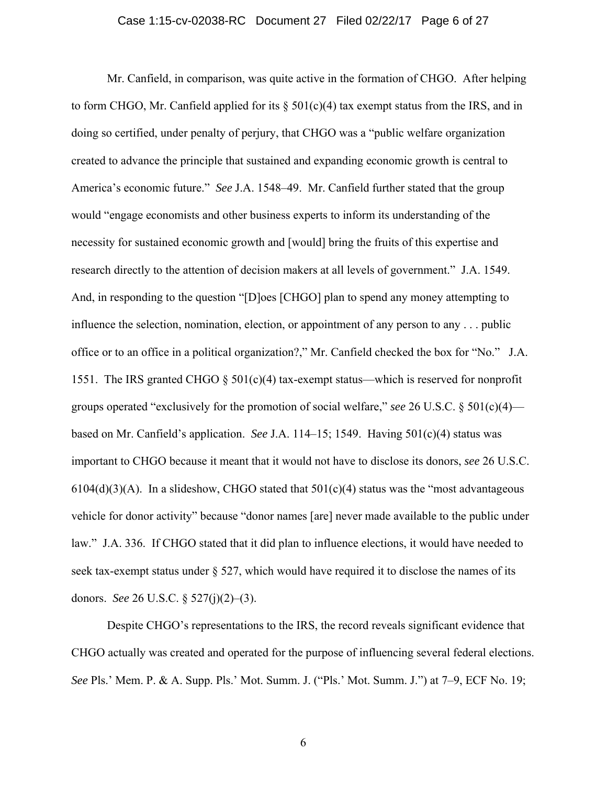#### Case 1:15-cv-02038-RC Document 27 Filed 02/22/17 Page 6 of 27

Mr. Canfield, in comparison, was quite active in the formation of CHGO. After helping to form CHGO, Mr. Canfield applied for its  $\S$  501(c)(4) tax exempt status from the IRS, and in doing so certified, under penalty of perjury, that CHGO was a "public welfare organization created to advance the principle that sustained and expanding economic growth is central to America's economic future." *See* J.A. 1548–49. Mr. Canfield further stated that the group would "engage economists and other business experts to inform its understanding of the necessity for sustained economic growth and [would] bring the fruits of this expertise and research directly to the attention of decision makers at all levels of government." J.A. 1549. And, in responding to the question "[D]oes [CHGO] plan to spend any money attempting to influence the selection, nomination, election, or appointment of any person to any . . . public office or to an office in a political organization?," Mr. Canfield checked the box for "No." J.A. 1551. The IRS granted CHGO  $\S$  501(c)(4) tax-exempt status—which is reserved for nonprofit groups operated "exclusively for the promotion of social welfare," *see* 26 U.S.C. § 501(c)(4) based on Mr. Canfield's application. *See* J.A. 114–15; 1549. Having 501(c)(4) status was important to CHGO because it meant that it would not have to disclose its donors, *see* 26 U.S.C.  $6104(d)(3)(A)$ . In a slideshow, CHGO stated that  $501(c)(4)$  status was the "most advantageous" vehicle for donor activity" because "donor names [are] never made available to the public under law." J.A. 336. If CHGO stated that it did plan to influence elections, it would have needed to seek tax-exempt status under  $\S$  527, which would have required it to disclose the names of its donors. *See* 26 U.S.C. § 527(j)(2)–(3).

Despite CHGO's representations to the IRS, the record reveals significant evidence that CHGO actually was created and operated for the purpose of influencing several federal elections. *See* Pls.' Mem. P. & A. Supp. Pls.' Mot. Summ. J. ("Pls.' Mot. Summ. J.") at 7–9, ECF No. 19;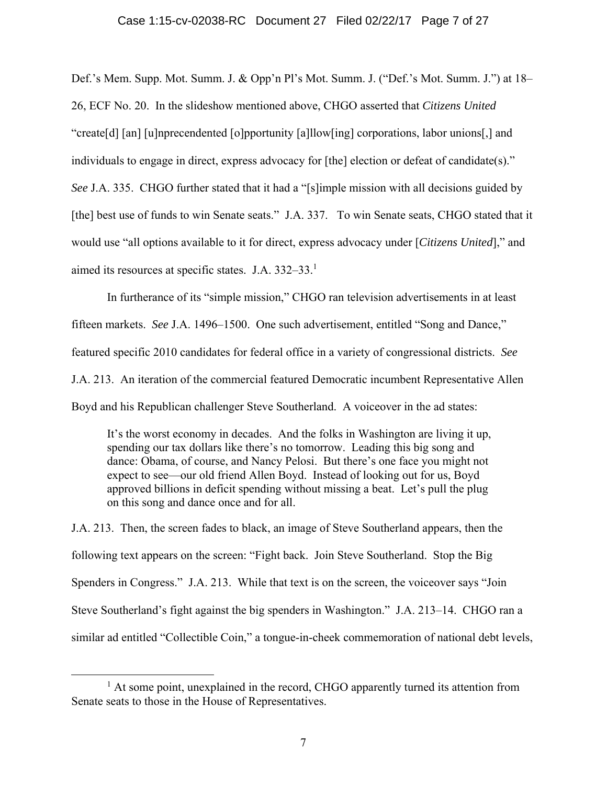## Case 1:15-cv-02038-RC Document 27 Filed 02/22/17 Page 7 of 27

Def.'s Mem. Supp. Mot. Summ. J. & Opp'n Pl's Mot. Summ. J. ("Def.'s Mot. Summ. J.") at 18– 26, ECF No. 20. In the slideshow mentioned above, CHGO asserted that *Citizens United*  "create[d] [an] [u]nprecendented [o]pportunity [a]llow[ing] corporations, labor unions[,] and individuals to engage in direct, express advocacy for [the] election or defeat of candidate(s)." *See* J.A. 335. CHGO further stated that it had a "[s]imple mission with all decisions guided by [the] best use of funds to win Senate seats." J.A. 337. To win Senate seats, CHGO stated that it would use "all options available to it for direct, express advocacy under [*Citizens United*]," and aimed its resources at specific states. J.A. 332–33.1

In furtherance of its "simple mission," CHGO ran television advertisements in at least fifteen markets. *See* J.A. 1496–1500. One such advertisement, entitled "Song and Dance," featured specific 2010 candidates for federal office in a variety of congressional districts. *See*  J.A. 213. An iteration of the commercial featured Democratic incumbent Representative Allen Boyd and his Republican challenger Steve Southerland. A voiceover in the ad states:

It's the worst economy in decades. And the folks in Washington are living it up, spending our tax dollars like there's no tomorrow. Leading this big song and dance: Obama, of course, and Nancy Pelosi. But there's one face you might not expect to see—our old friend Allen Boyd. Instead of looking out for us, Boyd approved billions in deficit spending without missing a beat. Let's pull the plug on this song and dance once and for all.

J.A. 213. Then, the screen fades to black, an image of Steve Southerland appears, then the following text appears on the screen: "Fight back. Join Steve Southerland. Stop the Big Spenders in Congress." J.A. 213. While that text is on the screen, the voiceover says "Join Steve Southerland's fight against the big spenders in Washington." J.A. 213–14. CHGO ran a similar ad entitled "Collectible Coin," a tongue-in-cheek commemoration of national debt levels,

<sup>&</sup>lt;u>1</u> <sup>1</sup> At some point, unexplained in the record, CHGO apparently turned its attention from Senate seats to those in the House of Representatives.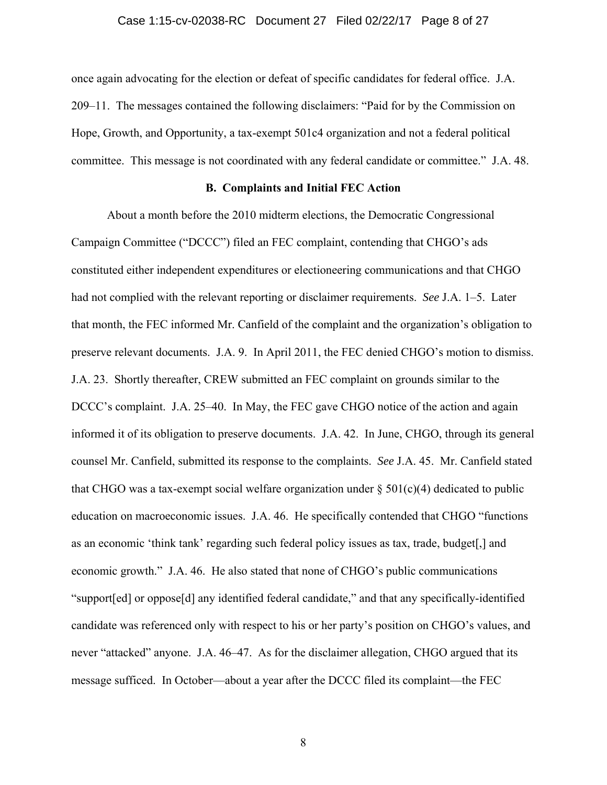#### Case 1:15-cv-02038-RC Document 27 Filed 02/22/17 Page 8 of 27

once again advocating for the election or defeat of specific candidates for federal office. J.A. 209–11. The messages contained the following disclaimers: "Paid for by the Commission on Hope, Growth, and Opportunity, a tax-exempt 501c4 organization and not a federal political committee. This message is not coordinated with any federal candidate or committee." J.A. 48.

### **B. Complaints and Initial FEC Action**

About a month before the 2010 midterm elections, the Democratic Congressional Campaign Committee ("DCCC") filed an FEC complaint, contending that CHGO's ads constituted either independent expenditures or electioneering communications and that CHGO had not complied with the relevant reporting or disclaimer requirements. *See* J.A. 1–5. Later that month, the FEC informed Mr. Canfield of the complaint and the organization's obligation to preserve relevant documents. J.A. 9. In April 2011, the FEC denied CHGO's motion to dismiss. J.A. 23. Shortly thereafter, CREW submitted an FEC complaint on grounds similar to the DCCC's complaint. J.A. 25–40. In May, the FEC gave CHGO notice of the action and again informed it of its obligation to preserve documents. J.A. 42. In June, CHGO, through its general counsel Mr. Canfield, submitted its response to the complaints. *See* J.A. 45. Mr. Canfield stated that CHGO was a tax-exempt social welfare organization under  $\S 501(c)(4)$  dedicated to public education on macroeconomic issues. J.A. 46. He specifically contended that CHGO "functions as an economic 'think tank' regarding such federal policy issues as tax, trade, budget[,] and economic growth." J.A. 46. He also stated that none of CHGO's public communications "support[ed] or oppose[d] any identified federal candidate," and that any specifically-identified candidate was referenced only with respect to his or her party's position on CHGO's values, and never "attacked" anyone. J.A. 46–47. As for the disclaimer allegation, CHGO argued that its message sufficed. In October—about a year after the DCCC filed its complaint—the FEC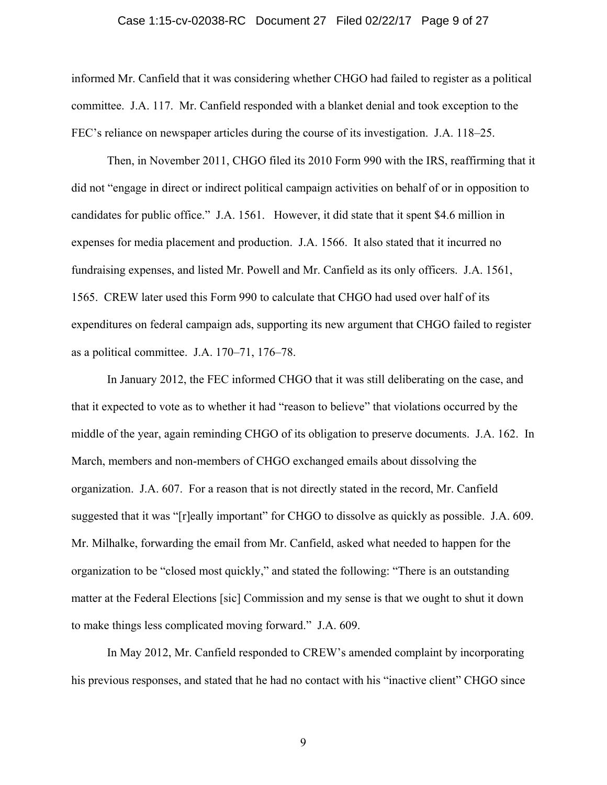### Case 1:15-cv-02038-RC Document 27 Filed 02/22/17 Page 9 of 27

informed Mr. Canfield that it was considering whether CHGO had failed to register as a political committee. J.A. 117. Mr. Canfield responded with a blanket denial and took exception to the FEC's reliance on newspaper articles during the course of its investigation. J.A. 118–25.

Then, in November 2011, CHGO filed its 2010 Form 990 with the IRS, reaffirming that it did not "engage in direct or indirect political campaign activities on behalf of or in opposition to candidates for public office." J.A. 1561. However, it did state that it spent \$4.6 million in expenses for media placement and production. J.A. 1566. It also stated that it incurred no fundraising expenses, and listed Mr. Powell and Mr. Canfield as its only officers. J.A. 1561, 1565. CREW later used this Form 990 to calculate that CHGO had used over half of its expenditures on federal campaign ads, supporting its new argument that CHGO failed to register as a political committee. J.A. 170–71, 176–78.

In January 2012, the FEC informed CHGO that it was still deliberating on the case, and that it expected to vote as to whether it had "reason to believe" that violations occurred by the middle of the year, again reminding CHGO of its obligation to preserve documents. J.A. 162. In March, members and non-members of CHGO exchanged emails about dissolving the organization. J.A. 607. For a reason that is not directly stated in the record, Mr. Canfield suggested that it was "[r]eally important" for CHGO to dissolve as quickly as possible. J.A. 609. Mr. Milhalke, forwarding the email from Mr. Canfield, asked what needed to happen for the organization to be "closed most quickly," and stated the following: "There is an outstanding matter at the Federal Elections [sic] Commission and my sense is that we ought to shut it down to make things less complicated moving forward." J.A. 609.

In May 2012, Mr. Canfield responded to CREW's amended complaint by incorporating his previous responses, and stated that he had no contact with his "inactive client" CHGO since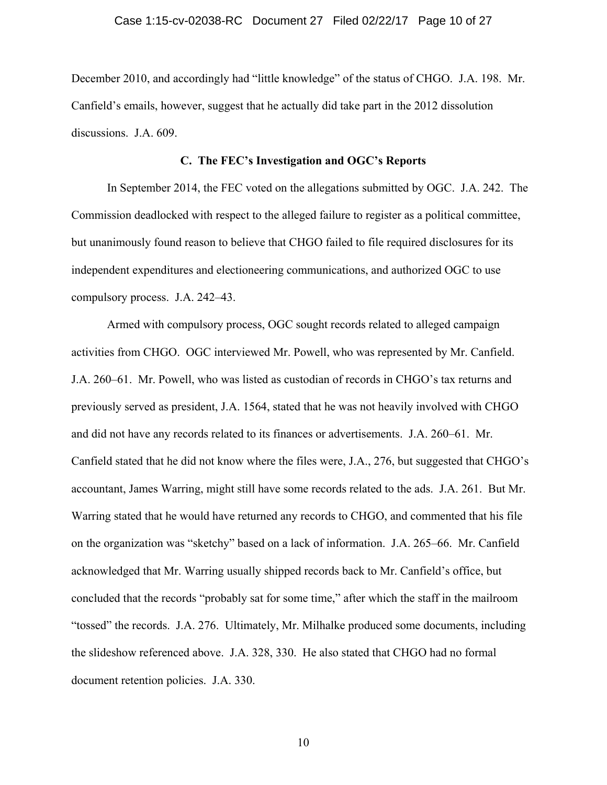December 2010, and accordingly had "little knowledge" of the status of CHGO. J.A. 198. Mr. Canfield's emails, however, suggest that he actually did take part in the 2012 dissolution discussions. J.A. 609.

## **C. The FEC's Investigation and OGC's Reports**

In September 2014, the FEC voted on the allegations submitted by OGC. J.A. 242. The Commission deadlocked with respect to the alleged failure to register as a political committee, but unanimously found reason to believe that CHGO failed to file required disclosures for its independent expenditures and electioneering communications, and authorized OGC to use compulsory process. J.A. 242–43.

Armed with compulsory process, OGC sought records related to alleged campaign activities from CHGO. OGC interviewed Mr. Powell, who was represented by Mr. Canfield. J.A. 260–61. Mr. Powell, who was listed as custodian of records in CHGO's tax returns and previously served as president, J.A. 1564, stated that he was not heavily involved with CHGO and did not have any records related to its finances or advertisements. J.A. 260–61. Mr. Canfield stated that he did not know where the files were, J.A., 276, but suggested that CHGO's accountant, James Warring, might still have some records related to the ads. J.A. 261. But Mr. Warring stated that he would have returned any records to CHGO, and commented that his file on the organization was "sketchy" based on a lack of information. J.A. 265–66. Mr. Canfield acknowledged that Mr. Warring usually shipped records back to Mr. Canfield's office, but concluded that the records "probably sat for some time," after which the staff in the mailroom "tossed" the records. J.A. 276. Ultimately, Mr. Milhalke produced some documents, including the slideshow referenced above. J.A. 328, 330. He also stated that CHGO had no formal document retention policies. J.A. 330.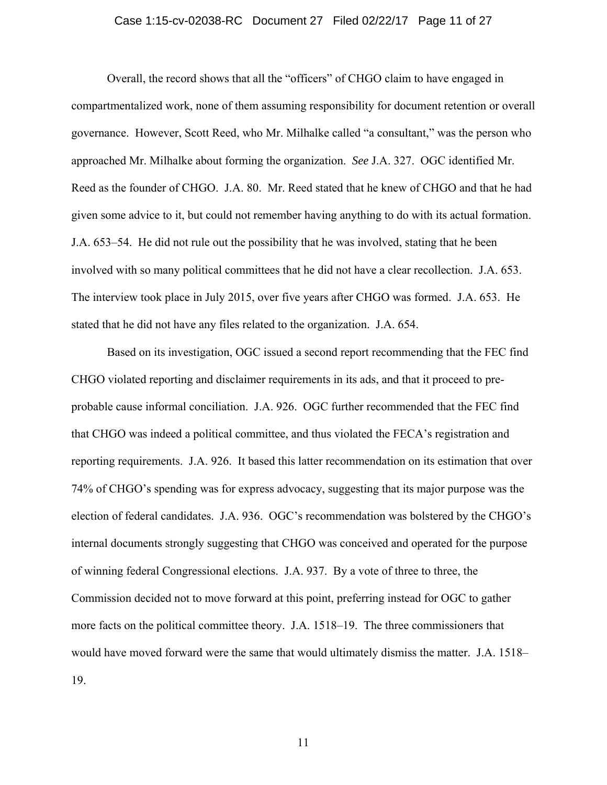### Case 1:15-cv-02038-RC Document 27 Filed 02/22/17 Page 11 of 27

Overall, the record shows that all the "officers" of CHGO claim to have engaged in compartmentalized work, none of them assuming responsibility for document retention or overall governance. However, Scott Reed, who Mr. Milhalke called "a consultant," was the person who approached Mr. Milhalke about forming the organization. *See* J.A. 327. OGC identified Mr. Reed as the founder of CHGO. J.A. 80. Mr. Reed stated that he knew of CHGO and that he had given some advice to it, but could not remember having anything to do with its actual formation. J.A. 653–54. He did not rule out the possibility that he was involved, stating that he been involved with so many political committees that he did not have a clear recollection. J.A. 653. The interview took place in July 2015, over five years after CHGO was formed. J.A. 653. He stated that he did not have any files related to the organization. J.A. 654.

Based on its investigation, OGC issued a second report recommending that the FEC find CHGO violated reporting and disclaimer requirements in its ads, and that it proceed to preprobable cause informal conciliation. J.A. 926. OGC further recommended that the FEC find that CHGO was indeed a political committee, and thus violated the FECA's registration and reporting requirements. J.A. 926. It based this latter recommendation on its estimation that over 74% of CHGO's spending was for express advocacy, suggesting that its major purpose was the election of federal candidates. J.A. 936. OGC's recommendation was bolstered by the CHGO's internal documents strongly suggesting that CHGO was conceived and operated for the purpose of winning federal Congressional elections. J.A. 937. By a vote of three to three, the Commission decided not to move forward at this point, preferring instead for OGC to gather more facts on the political committee theory. J.A. 1518–19. The three commissioners that would have moved forward were the same that would ultimately dismiss the matter. J.A. 1518– 19.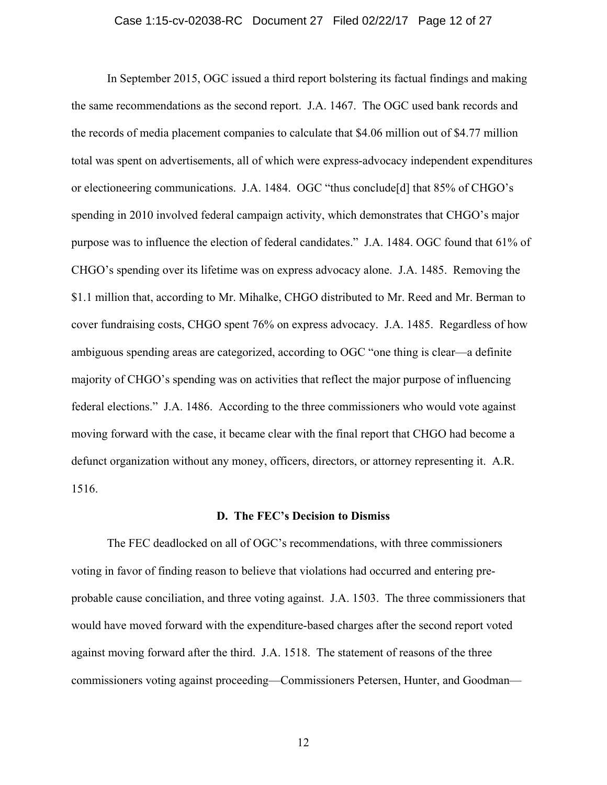### Case 1:15-cv-02038-RC Document 27 Filed 02/22/17 Page 12 of 27

In September 2015, OGC issued a third report bolstering its factual findings and making the same recommendations as the second report. J.A. 1467. The OGC used bank records and the records of media placement companies to calculate that \$4.06 million out of \$4.77 million total was spent on advertisements, all of which were express-advocacy independent expenditures or electioneering communications. J.A. 1484. OGC "thus conclude[d] that 85% of CHGO's spending in 2010 involved federal campaign activity, which demonstrates that CHGO's major purpose was to influence the election of federal candidates." J.A. 1484. OGC found that 61% of CHGO's spending over its lifetime was on express advocacy alone. J.A. 1485. Removing the \$1.1 million that, according to Mr. Mihalke, CHGO distributed to Mr. Reed and Mr. Berman to cover fundraising costs, CHGO spent 76% on express advocacy. J.A. 1485. Regardless of how ambiguous spending areas are categorized, according to OGC "one thing is clear—a definite majority of CHGO's spending was on activities that reflect the major purpose of influencing federal elections." J.A. 1486. According to the three commissioners who would vote against moving forward with the case, it became clear with the final report that CHGO had become a defunct organization without any money, officers, directors, or attorney representing it. A.R. 1516.

#### **D. The FEC's Decision to Dismiss**

The FEC deadlocked on all of OGC's recommendations, with three commissioners voting in favor of finding reason to believe that violations had occurred and entering preprobable cause conciliation, and three voting against. J.A. 1503. The three commissioners that would have moved forward with the expenditure-based charges after the second report voted against moving forward after the third. J.A. 1518. The statement of reasons of the three commissioners voting against proceeding—Commissioners Petersen, Hunter, and Goodman—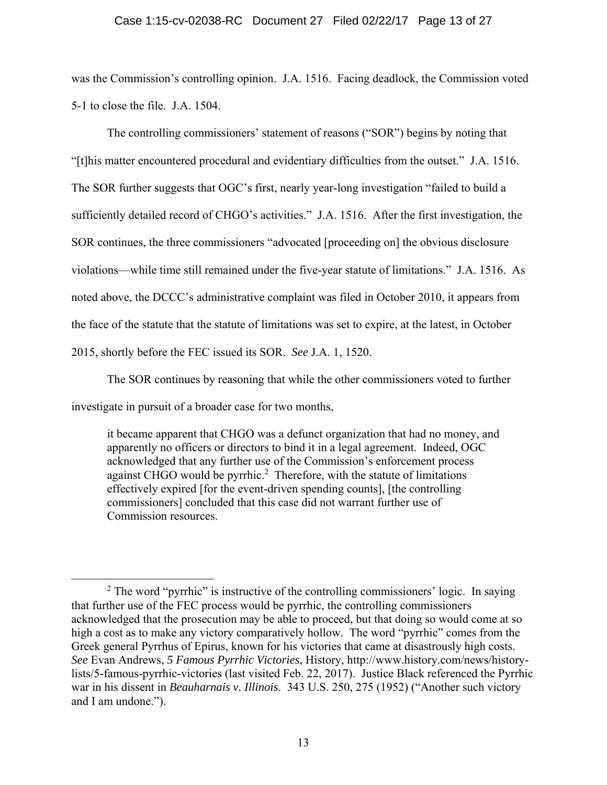## Case 1:15-cv-02038-RC Document 27 Filed 02/22/17 Page 13 of 27

was the Commission's controlling opinion. J.A. 1516. Facing deadlock, the Commission voted 5-1 to close the file. J.A. 1504.

The controlling commissioners' statement of reasons ("SOR") begins by noting that "[t]his matter encountered procedural and evidentiary difficulties from the outset." J.A. 1516. The SOR further suggests that OGC's first, nearly year-long investigation "failed to build a sufficiently detailed record of CHGO's activities." J.A. 1516. After the first investigation, the SOR continues, the three commissioners "advocated [proceeding on] the obvious disclosure violations—while time still remained under the five-year statute of limitations." J.A. 1516. As noted above, the DCCC's administrative complaint was filed in October 2010, it appears from the face of the statute that the statute of limitations was set to expire, at the latest, in October 2015, shortly before the FEC issued its SOR. *See* J.A. 1, 1520.

The SOR continues by reasoning that while the other commissioners voted to further investigate in pursuit of a broader case for two months,

it became apparent that CHGO was a defunct organization that had no money, and apparently no officers or directors to bind it in a legal agreement. Indeed, OGC acknowledged that any further use of the Commission's enforcement process against CHGO would be pyrrhic.<sup>2</sup> Therefore, with the statute of limitations effectively expired [for the event-driven spending counts], [the controlling commissioners] concluded that this case did not warrant further use of Commission resources.

 <sup>2</sup>  $2$  The word "pyrrhic" is instructive of the controlling commissioners' logic. In saying that further use of the FEC process would be pyrrhic, the controlling commissioners acknowledged that the prosecution may be able to proceed, but that doing so would come at so high a cost as to make any victory comparatively hollow. The word "pyrrhic" comes from the Greek general Pyrrhus of Epirus, known for his victories that came at disastrously high costs. *See* Evan Andrews, *5 Famous Pyrrhic Victories*, History, http://www.history.com/news/historylists/5-famous-pyrrhic-victories (last visited Feb. 22, 2017). Justice Black referenced the Pyrrhic war in his dissent in *Beauharnais v. Illinois*. 343 U.S. 250, 275 (1952) ("Another such victory and I am undone.").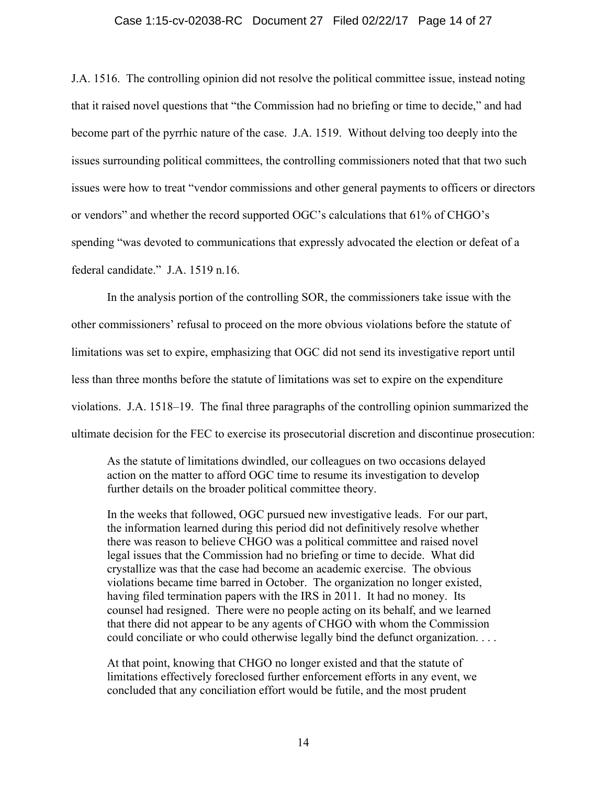### Case 1:15-cv-02038-RC Document 27 Filed 02/22/17 Page 14 of 27

J.A. 1516. The controlling opinion did not resolve the political committee issue, instead noting that it raised novel questions that "the Commission had no briefing or time to decide," and had become part of the pyrrhic nature of the case. J.A. 1519. Without delving too deeply into the issues surrounding political committees, the controlling commissioners noted that that two such issues were how to treat "vendor commissions and other general payments to officers or directors or vendors" and whether the record supported OGC's calculations that 61% of CHGO's spending "was devoted to communications that expressly advocated the election or defeat of a federal candidate." J.A. 1519 n.16.

In the analysis portion of the controlling SOR, the commissioners take issue with the other commissioners' refusal to proceed on the more obvious violations before the statute of limitations was set to expire, emphasizing that OGC did not send its investigative report until less than three months before the statute of limitations was set to expire on the expenditure violations. J.A. 1518–19. The final three paragraphs of the controlling opinion summarized the ultimate decision for the FEC to exercise its prosecutorial discretion and discontinue prosecution:

As the statute of limitations dwindled, our colleagues on two occasions delayed action on the matter to afford OGC time to resume its investigation to develop further details on the broader political committee theory.

In the weeks that followed, OGC pursued new investigative leads. For our part, the information learned during this period did not definitively resolve whether there was reason to believe CHGO was a political committee and raised novel legal issues that the Commission had no briefing or time to decide. What did crystallize was that the case had become an academic exercise. The obvious violations became time barred in October. The organization no longer existed, having filed termination papers with the IRS in 2011. It had no money. Its counsel had resigned. There were no people acting on its behalf, and we learned that there did not appear to be any agents of CHGO with whom the Commission could conciliate or who could otherwise legally bind the defunct organization. . . .

At that point, knowing that CHGO no longer existed and that the statute of limitations effectively foreclosed further enforcement efforts in any event, we concluded that any conciliation effort would be futile, and the most prudent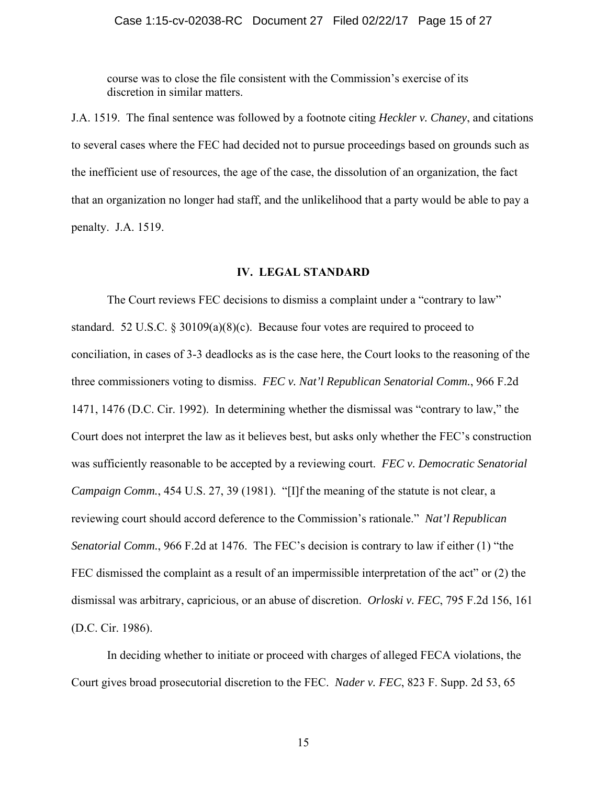course was to close the file consistent with the Commission's exercise of its discretion in similar matters.

J.A. 1519. The final sentence was followed by a footnote citing *Heckler v. Chaney*, and citations to several cases where the FEC had decided not to pursue proceedings based on grounds such as the inefficient use of resources, the age of the case, the dissolution of an organization, the fact that an organization no longer had staff, and the unlikelihood that a party would be able to pay a penalty. J.A. 1519.

# **IV. LEGAL STANDARD**

The Court reviews FEC decisions to dismiss a complaint under a "contrary to law" standard. 52 U.S.C. § 30109(a)(8)(c). Because four votes are required to proceed to conciliation, in cases of 3-3 deadlocks as is the case here, the Court looks to the reasoning of the three commissioners voting to dismiss. *FEC v. Nat'l Republican Senatorial Comm.*, 966 F.2d 1471, 1476 (D.C. Cir. 1992). In determining whether the dismissal was "contrary to law," the Court does not interpret the law as it believes best, but asks only whether the FEC's construction was sufficiently reasonable to be accepted by a reviewing court. *FEC v. Democratic Senatorial Campaign Comm.*, 454 U.S. 27, 39 (1981). "[I]f the meaning of the statute is not clear, a reviewing court should accord deference to the Commission's rationale." *Nat'l Republican Senatorial Comm.*, 966 F.2d at 1476. The FEC's decision is contrary to law if either (1) "the FEC dismissed the complaint as a result of an impermissible interpretation of the act" or (2) the dismissal was arbitrary, capricious, or an abuse of discretion. *Orloski v. FEC*, 795 F.2d 156, 161 (D.C. Cir. 1986).

In deciding whether to initiate or proceed with charges of alleged FECA violations, the Court gives broad prosecutorial discretion to the FEC. *Nader v. FEC*, 823 F. Supp. 2d 53, 65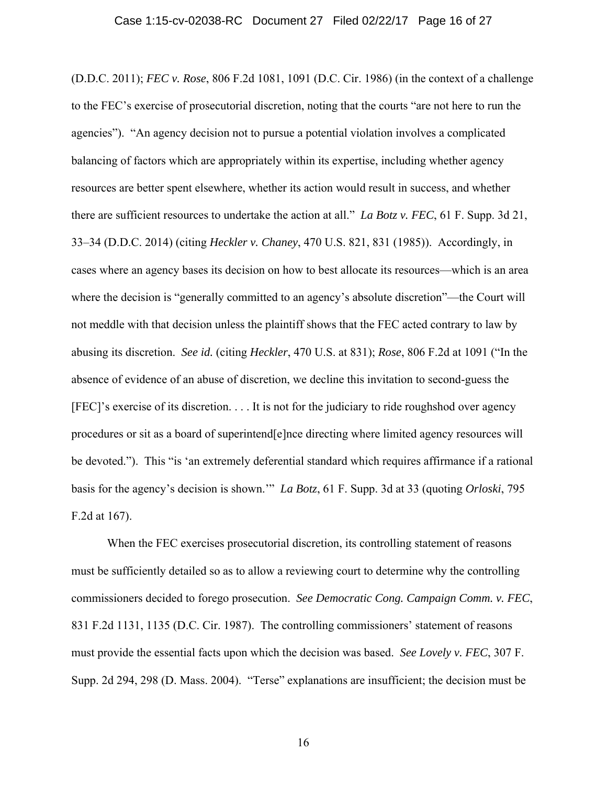(D.D.C. 2011); *FEC v. Rose*, 806 F.2d 1081, 1091 (D.C. Cir. 1986) (in the context of a challenge to the FEC's exercise of prosecutorial discretion, noting that the courts "are not here to run the agencies"). "An agency decision not to pursue a potential violation involves a complicated balancing of factors which are appropriately within its expertise, including whether agency resources are better spent elsewhere, whether its action would result in success, and whether there are sufficient resources to undertake the action at all." *La Botz v. FEC*, 61 F. Supp. 3d 21, 33–34 (D.D.C. 2014) (citing *Heckler v. Chaney*, 470 U.S. 821, 831 (1985)). Accordingly, in cases where an agency bases its decision on how to best allocate its resources—which is an area where the decision is "generally committed to an agency's absolute discretion"—the Court will not meddle with that decision unless the plaintiff shows that the FEC acted contrary to law by abusing its discretion. *See id.* (citing *Heckler*, 470 U.S. at 831); *Rose*, 806 F.2d at 1091 ("In the absence of evidence of an abuse of discretion, we decline this invitation to second-guess the [FEC]'s exercise of its discretion. . . . It is not for the judiciary to ride roughshod over agency procedures or sit as a board of superintend[e]nce directing where limited agency resources will be devoted."). This "is 'an extremely deferential standard which requires affirmance if a rational basis for the agency's decision is shown.'" *La Botz*, 61 F. Supp. 3d at 33 (quoting *Orloski*, 795 F.2d at 167).

When the FEC exercises prosecutorial discretion, its controlling statement of reasons must be sufficiently detailed so as to allow a reviewing court to determine why the controlling commissioners decided to forego prosecution. *See Democratic Cong. Campaign Comm. v. FEC*, 831 F.2d 1131, 1135 (D.C. Cir. 1987). The controlling commissioners' statement of reasons must provide the essential facts upon which the decision was based. *See Lovely v. FEC*, 307 F. Supp. 2d 294, 298 (D. Mass. 2004). "Terse" explanations are insufficient; the decision must be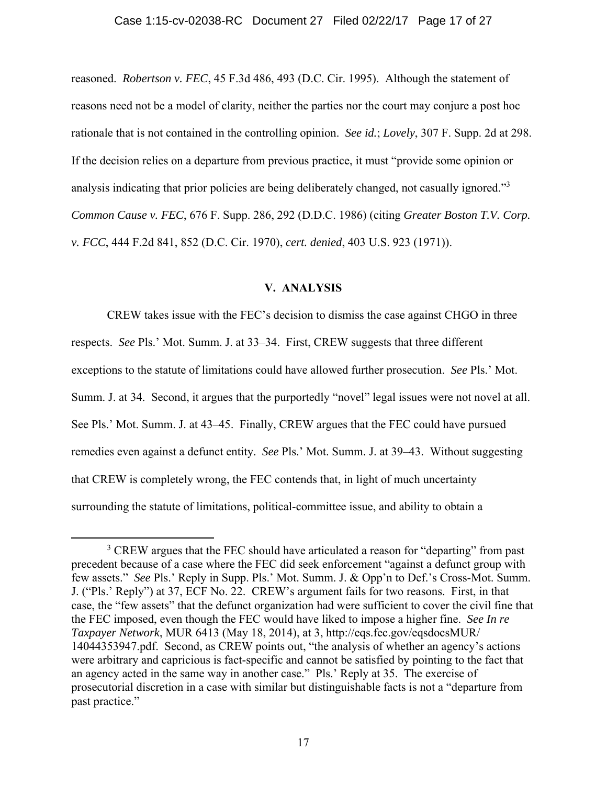reasoned. *Robertson v. FEC*, 45 F.3d 486, 493 (D.C. Cir. 1995). Although the statement of reasons need not be a model of clarity, neither the parties nor the court may conjure a post hoc rationale that is not contained in the controlling opinion. *See id.*; *Lovely*, 307 F. Supp. 2d at 298. If the decision relies on a departure from previous practice, it must "provide some opinion or analysis indicating that prior policies are being deliberately changed, not casually ignored."<sup>3</sup> *Common Cause v. FEC*, 676 F. Supp. 286, 292 (D.D.C. 1986) (citing *Greater Boston T.V. Corp. v. FCC*, 444 F.2d 841, 852 (D.C. Cir. 1970), *cert. denied*, 403 U.S. 923 (1971)).

#### **V. ANALYSIS**

CREW takes issue with the FEC's decision to dismiss the case against CHGO in three respects. *See* Pls.' Mot. Summ. J. at 33–34. First, CREW suggests that three different exceptions to the statute of limitations could have allowed further prosecution. *See* Pls.' Mot. Summ. J. at 34.Second, it argues that the purportedly "novel" legal issues were not novel at all. See Pls.' Mot. Summ. J. at 43–45. Finally, CREW argues that the FEC could have pursued remedies even against a defunct entity. *See* Pls.' Mot. Summ. J. at 39–43. Without suggesting that CREW is completely wrong, the FEC contends that, in light of much uncertainty surrounding the statute of limitations, political-committee issue, and ability to obtain a

 $\frac{1}{3}$ <sup>3</sup> CREW argues that the FEC should have articulated a reason for "departing" from past precedent because of a case where the FEC did seek enforcement "against a defunct group with few assets." *See* Pls.' Reply in Supp. Pls.' Mot. Summ. J. & Opp'n to Def.'s Cross-Mot. Summ. J. ("Pls.' Reply") at 37, ECF No. 22. CREW's argument fails for two reasons. First, in that case, the "few assets" that the defunct organization had were sufficient to cover the civil fine that the FEC imposed, even though the FEC would have liked to impose a higher fine. *See In re Taxpayer Network*, MUR 6413 (May 18, 2014), at 3, http://eqs.fec.gov/eqsdocsMUR/ 14044353947.pdf. Second, as CREW points out, "the analysis of whether an agency's actions were arbitrary and capricious is fact-specific and cannot be satisfied by pointing to the fact that an agency acted in the same way in another case." Pls.' Reply at 35. The exercise of prosecutorial discretion in a case with similar but distinguishable facts is not a "departure from past practice."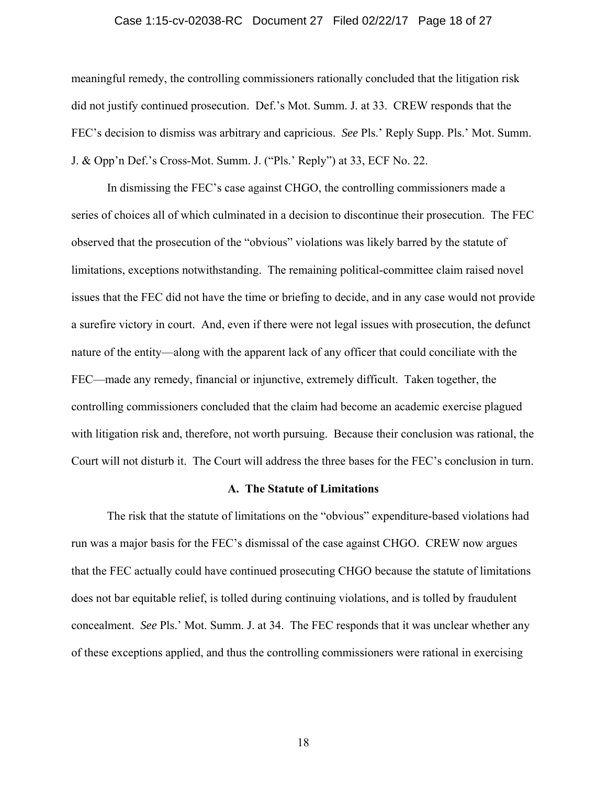### Case 1:15-cv-02038-RC Document 27 Filed 02/22/17 Page 18 of 27

meaningful remedy, the controlling commissioners rationally concluded that the litigation risk did not justify continued prosecution. Def.'s Mot. Summ. J. at 33. CREW responds that the FEC's decision to dismiss was arbitrary and capricious. *See* Pls.' Reply Supp. Pls.' Mot. Summ. J. & Opp'n Def.'s Cross-Mot. Summ. J. ("Pls.' Reply") at 33, ECF No. 22.

In dismissing the FEC's case against CHGO, the controlling commissioners made a series of choices all of which culminated in a decision to discontinue their prosecution. The FEC observed that the prosecution of the "obvious" violations was likely barred by the statute of limitations, exceptions notwithstanding. The remaining political-committee claim raised novel issues that the FEC did not have the time or briefing to decide, and in any case would not provide a surefire victory in court. And, even if there were not legal issues with prosecution, the defunct nature of the entity—along with the apparent lack of any officer that could conciliate with the FEC—made any remedy, financial or injunctive, extremely difficult. Taken together, the controlling commissioners concluded that the claim had become an academic exercise plagued with litigation risk and, therefore, not worth pursuing. Because their conclusion was rational, the Court will not disturb it. The Court will address the three bases for the FEC's conclusion in turn.

## **A. The Statute of Limitations**

The risk that the statute of limitations on the "obvious" expenditure-based violations had run was a major basis for the FEC's dismissal of the case against CHGO. CREW now argues that the FEC actually could have continued prosecuting CHGO because the statute of limitations does not bar equitable relief, is tolled during continuing violations, and is tolled by fraudulent concealment. *See* Pls.' Mot. Summ. J. at 34. The FEC responds that it was unclear whether any of these exceptions applied, and thus the controlling commissioners were rational in exercising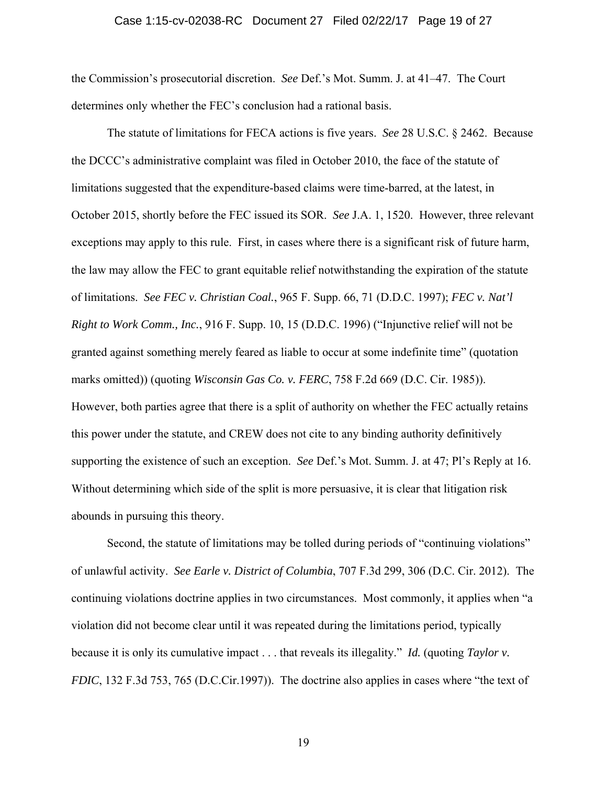### Case 1:15-cv-02038-RC Document 27 Filed 02/22/17 Page 19 of 27

the Commission's prosecutorial discretion. *See* Def.'s Mot. Summ. J. at 41–47. The Court determines only whether the FEC's conclusion had a rational basis.

The statute of limitations for FECA actions is five years. *See* 28 U.S.C. § 2462. Because the DCCC's administrative complaint was filed in October 2010, the face of the statute of limitations suggested that the expenditure-based claims were time-barred, at the latest, in October 2015, shortly before the FEC issued its SOR. *See* J.A. 1, 1520. However, three relevant exceptions may apply to this rule. First, in cases where there is a significant risk of future harm, the law may allow the FEC to grant equitable relief notwithstanding the expiration of the statute of limitations. *See FEC v. Christian Coal.*, 965 F. Supp. 66, 71 (D.D.C. 1997); *FEC v. Nat'l Right to Work Comm., Inc.*, 916 F. Supp. 10, 15 (D.D.C. 1996) ("Injunctive relief will not be granted against something merely feared as liable to occur at some indefinite time" (quotation marks omitted)) (quoting *Wisconsin Gas Co. v. FERC*, 758 F.2d 669 (D.C. Cir. 1985)). However, both parties agree that there is a split of authority on whether the FEC actually retains this power under the statute, and CREW does not cite to any binding authority definitively supporting the existence of such an exception. *See* Def.'s Mot. Summ. J. at 47; Pl's Reply at 16. Without determining which side of the split is more persuasive, it is clear that litigation risk abounds in pursuing this theory.

Second, the statute of limitations may be tolled during periods of "continuing violations" of unlawful activity. *See Earle v. District of Columbia*, 707 F.3d 299, 306 (D.C. Cir. 2012). The continuing violations doctrine applies in two circumstances. Most commonly, it applies when "a violation did not become clear until it was repeated during the limitations period, typically because it is only its cumulative impact . . . that reveals its illegality." *Id.* (quoting *Taylor v. FDIC*, 132 F.3d 753, 765 (D.C.Cir.1997)). The doctrine also applies in cases where "the text of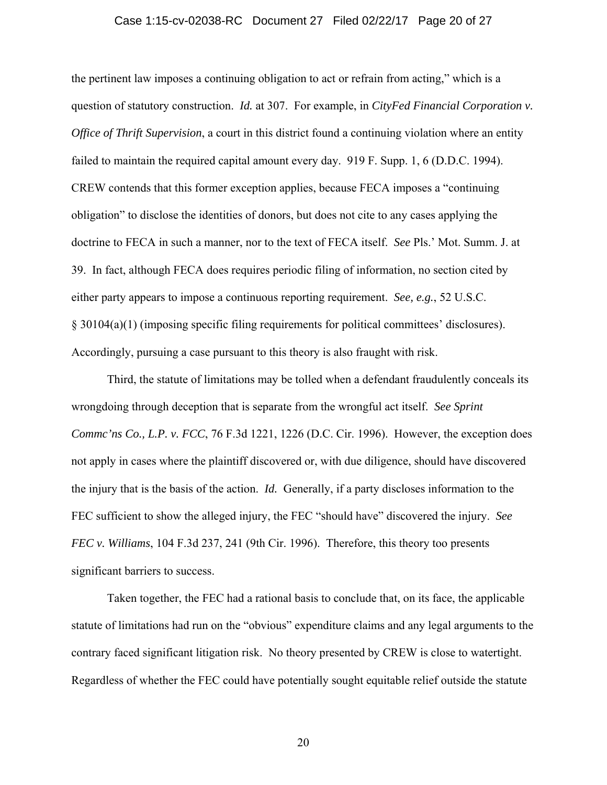### Case 1:15-cv-02038-RC Document 27 Filed 02/22/17 Page 20 of 27

the pertinent law imposes a continuing obligation to act or refrain from acting," which is a question of statutory construction. *Id.* at 307. For example, in *CityFed Financial Corporation v. Office of Thrift Supervision*, a court in this district found a continuing violation where an entity failed to maintain the required capital amount every day. 919 F. Supp. 1, 6 (D.D.C. 1994). CREW contends that this former exception applies, because FECA imposes a "continuing obligation" to disclose the identities of donors, but does not cite to any cases applying the doctrine to FECA in such a manner, nor to the text of FECA itself. *See* Pls.' Mot. Summ. J. at 39. In fact, although FECA does requires periodic filing of information, no section cited by either party appears to impose a continuous reporting requirement. *See, e.g.*, 52 U.S.C. § 30104(a)(1) (imposing specific filing requirements for political committees' disclosures). Accordingly, pursuing a case pursuant to this theory is also fraught with risk.

Third, the statute of limitations may be tolled when a defendant fraudulently conceals its wrongdoing through deception that is separate from the wrongful act itself. *See Sprint Commc'ns Co., L.P. v. FCC*, 76 F.3d 1221, 1226 (D.C. Cir. 1996). However, the exception does not apply in cases where the plaintiff discovered or, with due diligence, should have discovered the injury that is the basis of the action. *Id.* Generally, if a party discloses information to the FEC sufficient to show the alleged injury, the FEC "should have" discovered the injury. *See FEC v. Williams*, 104 F.3d 237, 241 (9th Cir. 1996). Therefore, this theory too presents significant barriers to success.

Taken together, the FEC had a rational basis to conclude that, on its face, the applicable statute of limitations had run on the "obvious" expenditure claims and any legal arguments to the contrary faced significant litigation risk. No theory presented by CREW is close to watertight. Regardless of whether the FEC could have potentially sought equitable relief outside the statute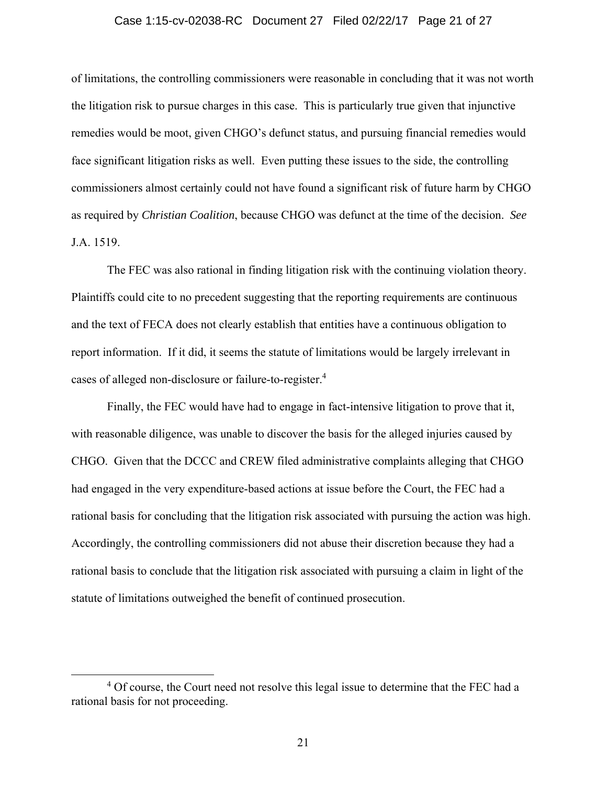### Case 1:15-cv-02038-RC Document 27 Filed 02/22/17 Page 21 of 27

of limitations, the controlling commissioners were reasonable in concluding that it was not worth the litigation risk to pursue charges in this case. This is particularly true given that injunctive remedies would be moot, given CHGO's defunct status, and pursuing financial remedies would face significant litigation risks as well. Even putting these issues to the side, the controlling commissioners almost certainly could not have found a significant risk of future harm by CHGO as required by *Christian Coalition*, because CHGO was defunct at the time of the decision. *See*  J.A. 1519.

The FEC was also rational in finding litigation risk with the continuing violation theory. Plaintiffs could cite to no precedent suggesting that the reporting requirements are continuous and the text of FECA does not clearly establish that entities have a continuous obligation to report information. If it did, it seems the statute of limitations would be largely irrelevant in cases of alleged non-disclosure or failure-to-register.4

Finally, the FEC would have had to engage in fact-intensive litigation to prove that it, with reasonable diligence, was unable to discover the basis for the alleged injuries caused by CHGO. Given that the DCCC and CREW filed administrative complaints alleging that CHGO had engaged in the very expenditure-based actions at issue before the Court, the FEC had a rational basis for concluding that the litigation risk associated with pursuing the action was high. Accordingly, the controlling commissioners did not abuse their discretion because they had a rational basis to conclude that the litigation risk associated with pursuing a claim in light of the statute of limitations outweighed the benefit of continued prosecution.

 $\overline{4}$ <sup>4</sup> Of course, the Court need not resolve this legal issue to determine that the FEC had a rational basis for not proceeding.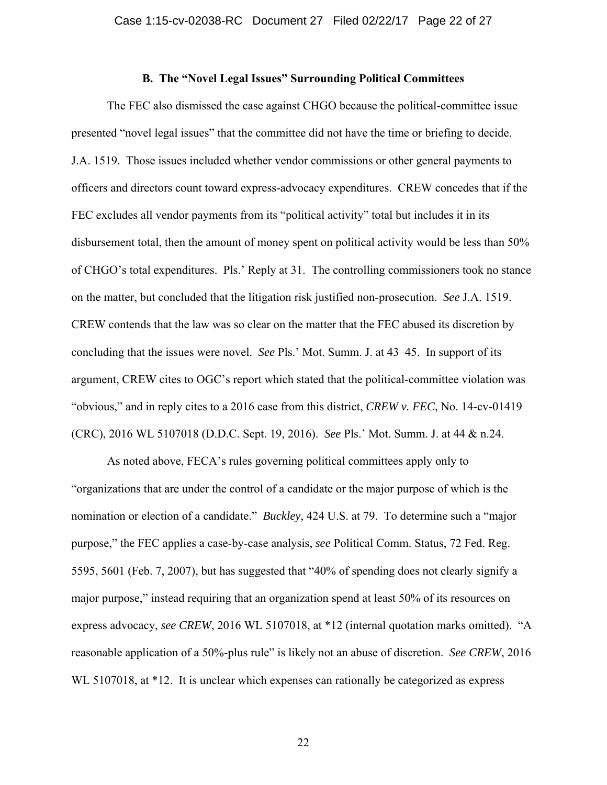## **B. The "Novel Legal Issues" Surrounding Political Committees**

The FEC also dismissed the case against CHGO because the political-committee issue presented "novel legal issues" that the committee did not have the time or briefing to decide. J.A. 1519. Those issues included whether vendor commissions or other general payments to officers and directors count toward express-advocacy expenditures. CREW concedes that if the FEC excludes all vendor payments from its "political activity" total but includes it in its disbursement total, then the amount of money spent on political activity would be less than 50% of CHGO's total expenditures. Pls.' Reply at 31. The controlling commissioners took no stance on the matter, but concluded that the litigation risk justified non-prosecution. *See* J.A. 1519. CREW contends that the law was so clear on the matter that the FEC abused its discretion by concluding that the issues were novel. *See* Pls.' Mot. Summ. J. at 43–45. In support of its argument, CREW cites to OGC's report which stated that the political-committee violation was "obvious," and in reply cites to a 2016 case from this district, *CREW v. FEC*, No. 14-cv-01419 (CRC), 2016 WL 5107018 (D.D.C. Sept. 19, 2016). *See* Pls.' Mot. Summ. J. at 44 & n.24.

As noted above, FECA's rules governing political committees apply only to "organizations that are under the control of a candidate or the major purpose of which is the nomination or election of a candidate." *Buckley*, 424 U.S. at 79. To determine such a "major purpose," the FEC applies a case-by-case analysis, *see* Political Comm. Status, 72 Fed. Reg. 5595, 5601 (Feb. 7, 2007), but has suggested that "40% of spending does not clearly signify a major purpose," instead requiring that an organization spend at least 50% of its resources on express advocacy, *see CREW*, 2016 WL 5107018, at \*12 (internal quotation marks omitted). "A reasonable application of a 50%-plus rule" is likely not an abuse of discretion. *See CREW*, 2016 WL 5107018, at \*12. It is unclear which expenses can rationally be categorized as express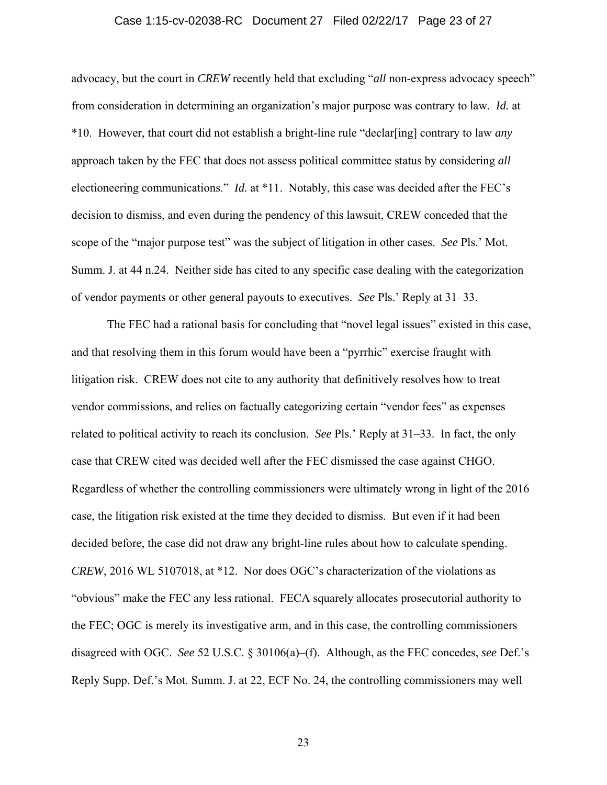### Case 1:15-cv-02038-RC Document 27 Filed 02/22/17 Page 23 of 27

advocacy, but the court in *CREW* recently held that excluding "*all* non-express advocacy speech" from consideration in determining an organization's major purpose was contrary to law. *Id.* at \*10. However, that court did not establish a bright-line rule "declar[ing] contrary to law *any*  approach taken by the FEC that does not assess political committee status by considering *all*  electioneering communications." *Id.* at \*11. Notably, this case was decided after the FEC's decision to dismiss, and even during the pendency of this lawsuit, CREW conceded that the scope of the "major purpose test" was the subject of litigation in other cases. *See* Pls.' Mot. Summ. J. at 44 n.24. Neither side has cited to any specific case dealing with the categorization of vendor payments or other general payouts to executives. *See* Pls.' Reply at 31–33.

The FEC had a rational basis for concluding that "novel legal issues" existed in this case, and that resolving them in this forum would have been a "pyrrhic" exercise fraught with litigation risk. CREW does not cite to any authority that definitively resolves how to treat vendor commissions, and relies on factually categorizing certain "vendor fees" as expenses related to political activity to reach its conclusion. *See* Pls.' Reply at 31–33. In fact, the only case that CREW cited was decided well after the FEC dismissed the case against CHGO. Regardless of whether the controlling commissioners were ultimately wrong in light of the 2016 case, the litigation risk existed at the time they decided to dismiss. But even if it had been decided before, the case did not draw any bright-line rules about how to calculate spending. *CREW*, 2016 WL 5107018, at \*12. Nor does OGC's characterization of the violations as "obvious" make the FEC any less rational. FECA squarely allocates prosecutorial authority to the FEC; OGC is merely its investigative arm, and in this case, the controlling commissioners disagreed with OGC. *See* 52 U.S.C. § 30106(a)–(f). Although, as the FEC concedes, *see* Def.'s Reply Supp. Def.'s Mot. Summ. J. at 22, ECF No. 24, the controlling commissioners may well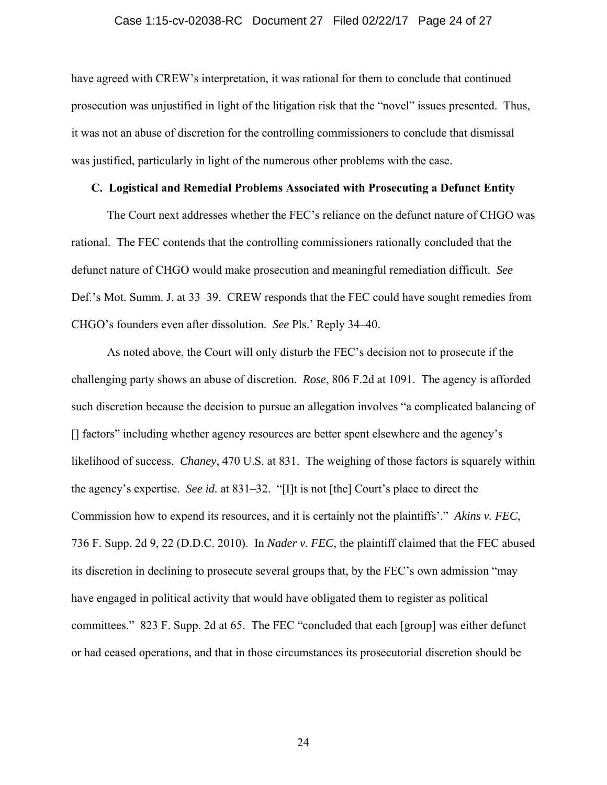### Case 1:15-cv-02038-RC Document 27 Filed 02/22/17 Page 24 of 27

have agreed with CREW's interpretation, it was rational for them to conclude that continued prosecution was unjustified in light of the litigation risk that the "novel" issues presented. Thus, it was not an abuse of discretion for the controlling commissioners to conclude that dismissal was justified, particularly in light of the numerous other problems with the case.

## **C. Logistical and Remedial Problems Associated with Prosecuting a Defunct Entity**

The Court next addresses whether the FEC's reliance on the defunct nature of CHGO was rational. The FEC contends that the controlling commissioners rationally concluded that the defunct nature of CHGO would make prosecution and meaningful remediation difficult. *See*  Def.'s Mot. Summ. J. at 33–39. CREW responds that the FEC could have sought remedies from CHGO's founders even after dissolution. *See* Pls.' Reply 34–40.

As noted above, the Court will only disturb the FEC's decision not to prosecute if the challenging party shows an abuse of discretion. *Rose*, 806 F.2d at 1091. The agency is afforded such discretion because the decision to pursue an allegation involves "a complicated balancing of [] factors" including whether agency resources are better spent elsewhere and the agency's likelihood of success. *Chaney*, 470 U.S. at 831. The weighing of those factors is squarely within the agency's expertise. *See id.* at 831–32. "[I]t is not [the] Court's place to direct the Commission how to expend its resources, and it is certainly not the plaintiffs'." *Akins v. FEC*, 736 F. Supp. 2d 9, 22 (D.D.C. 2010). In *Nader v. FEC*, the plaintiff claimed that the FEC abused its discretion in declining to prosecute several groups that, by the FEC's own admission "may have engaged in political activity that would have obligated them to register as political committees." 823 F. Supp. 2d at 65. The FEC "concluded that each [group] was either defunct or had ceased operations, and that in those circumstances its prosecutorial discretion should be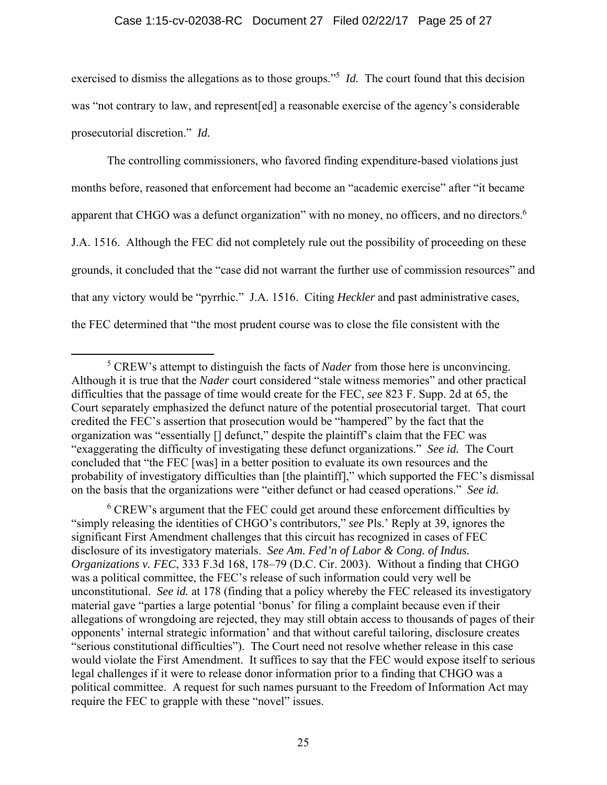exercised to dismiss the allegations as to those groups."<sup>5</sup> *Id*. The court found that this decision was "not contrary to law, and represent[ed] a reasonable exercise of the agency's considerable prosecutorial discretion." *Id.*

The controlling commissioners, who favored finding expenditure-based violations just months before, reasoned that enforcement had become an "academic exercise" after "it became apparent that CHGO was a defunct organization" with no money, no officers, and no directors.<sup>6</sup> J.A. 1516. Although the FEC did not completely rule out the possibility of proceeding on these grounds, it concluded that the "case did not warrant the further use of commission resources" and that any victory would be "pyrrhic." J.A. 1516.Citing *Heckler* and past administrative cases, the FEC determined that "the most prudent course was to close the file consistent with the

<sup>6</sup> CREW's argument that the FEC could get around these enforcement difficulties by "simply releasing the identities of CHGO's contributors," *see* Pls.' Reply at 39, ignores the significant First Amendment challenges that this circuit has recognized in cases of FEC disclosure of its investigatory materials. *See Am. Fed'n of Labor & Cong. of Indus. Organizations v. FEC*, 333 F.3d 168, 178–79 (D.C. Cir. 2003). Without a finding that CHGO was a political committee, the FEC's release of such information could very well be unconstitutional. *See id.* at 178 (finding that a policy whereby the FEC released its investigatory material gave "parties a large potential 'bonus' for filing a complaint because even if their allegations of wrongdoing are rejected, they may still obtain access to thousands of pages of their opponents' internal strategic information' and that without careful tailoring, disclosure creates "serious constitutional difficulties"). The Court need not resolve whether release in this case would violate the First Amendment. It suffices to say that the FEC would expose itself to serious legal challenges if it were to release donor information prior to a finding that CHGO was a political committee. A request for such names pursuant to the Freedom of Information Act may require the FEC to grapple with these "novel" issues.

 $\frac{1}{5}$  CREW's attempt to distinguish the facts of *Nader* from those here is unconvincing. Although it is true that the *Nader* court considered "stale witness memories" and other practical difficulties that the passage of time would create for the FEC, *see* 823 F. Supp. 2d at 65, the Court separately emphasized the defunct nature of the potential prosecutorial target. That court credited the FEC's assertion that prosecution would be "hampered" by the fact that the organization was "essentially [] defunct," despite the plaintiff's claim that the FEC was "exaggerating the difficulty of investigating these defunct organizations." *See id.* The Court concluded that "the FEC [was] in a better position to evaluate its own resources and the probability of investigatory difficulties than [the plaintiff]," which supported the FEC's dismissal on the basis that the organizations were "either defunct or had ceased operations." *See id.*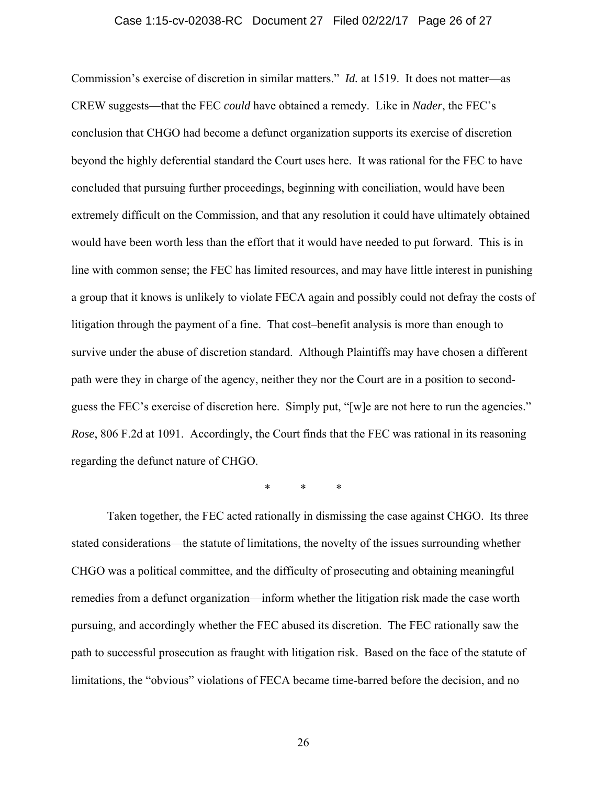### Case 1:15-cv-02038-RC Document 27 Filed 02/22/17 Page 26 of 27

Commission's exercise of discretion in similar matters." *Id.* at 1519. It does not matter—as CREW suggests—that the FEC *could* have obtained a remedy. Like in *Nader*, the FEC's conclusion that CHGO had become a defunct organization supports its exercise of discretion beyond the highly deferential standard the Court uses here. It was rational for the FEC to have concluded that pursuing further proceedings, beginning with conciliation, would have been extremely difficult on the Commission, and that any resolution it could have ultimately obtained would have been worth less than the effort that it would have needed to put forward. This is in line with common sense; the FEC has limited resources, and may have little interest in punishing a group that it knows is unlikely to violate FECA again and possibly could not defray the costs of litigation through the payment of a fine. That cost–benefit analysis is more than enough to survive under the abuse of discretion standard. Although Plaintiffs may have chosen a different path were they in charge of the agency, neither they nor the Court are in a position to secondguess the FEC's exercise of discretion here. Simply put, "[w]e are not here to run the agencies." *Rose*, 806 F.2d at 1091. Accordingly, the Court finds that the FEC was rational in its reasoning regarding the defunct nature of CHGO.

\* \* \*

Taken together, the FEC acted rationally in dismissing the case against CHGO. Its three stated considerations—the statute of limitations, the novelty of the issues surrounding whether CHGO was a political committee, and the difficulty of prosecuting and obtaining meaningful remedies from a defunct organization—inform whether the litigation risk made the case worth pursuing, and accordingly whether the FEC abused its discretion. The FEC rationally saw the path to successful prosecution as fraught with litigation risk. Based on the face of the statute of limitations, the "obvious" violations of FECA became time-barred before the decision, and no